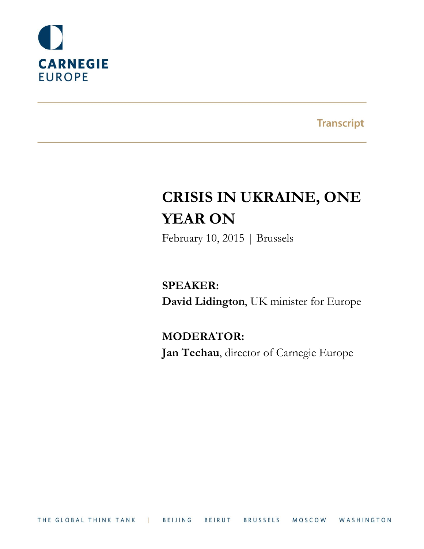

**Transcript** 

# **CRISIS IN UKRAINE, ONE YEAR ON**

February 10, 2015 | Brussels

**SPEAKER: David Lidington**, UK minister for Europe

**MODERATOR: Jan Techau**, director of Carnegie Europe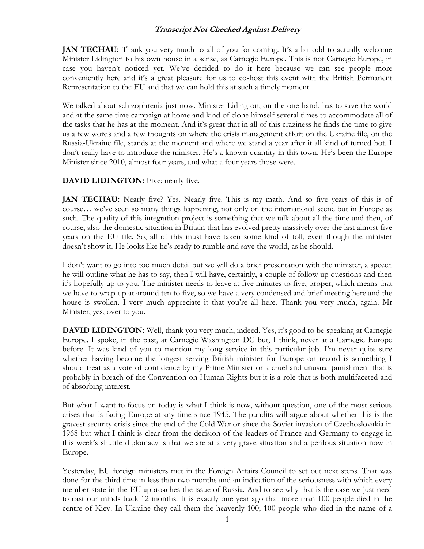**JAN TECHAU:** Thank you very much to all of you for coming. It's a bit odd to actually welcome Minister Lidington to his own house in a sense, as Carnegie Europe. This is not Carnegie Europe, in case you haven't noticed yet. We've decided to do it here because we can see people more conveniently here and it's a great pleasure for us to co-host this event with the British Permanent Representation to the EU and that we can hold this at such a timely moment.

We talked about schizophrenia just now. Minister Lidington, on the one hand, has to save the world and at the same time campaign at home and kind of clone himself several times to accommodate all of the tasks that he has at the moment. And it's great that in all of this craziness he finds the time to give us a few words and a few thoughts on where the crisis management effort on the Ukraine file, on the Russia-Ukraine file, stands at the moment and where we stand a year after it all kind of turned hot. I don't really have to introduce the minister. He's a known quantity in this town. He's been the Europe Minister since 2010, almost four years, and what a four years those were.

#### **DAVID LIDINGTON:** Five; nearly five.

**JAN TECHAU:** Nearly five? Yes. Nearly five. This is my math. And so five years of this is of course… we've seen so many things happening, not only on the international scene but in Europe as such. The quality of this integration project is something that we talk about all the time and then, of course, also the domestic situation in Britain that has evolved pretty massively over the last almost five years on the EU file. So, all of this must have taken some kind of toll, even though the minister doesn't show it. He looks like he's ready to rumble and save the world, as he should.

I don't want to go into too much detail but we will do a brief presentation with the minister, a speech he will outline what he has to say, then I will have, certainly, a couple of follow up questions and then it's hopefully up to you. The minister needs to leave at five minutes to five, proper, which means that we have to wrap-up at around ten to five, so we have a very condensed and brief meeting here and the house is swollen. I very much appreciate it that you're all here. Thank you very much, again. Mr Minister, yes, over to you.

**DAVID LIDINGTON:** Well, thank you very much, indeed. Yes, it's good to be speaking at Carnegie Europe. I spoke, in the past, at Carnegie Washington DC but, I think, never at a Carnegie Europe before. It was kind of you to mention my long service in this particular job. I'm never quite sure whether having become the longest serving British minister for Europe on record is something I should treat as a vote of confidence by my Prime Minister or a cruel and unusual punishment that is probably in breach of the Convention on Human Rights but it is a role that is both multifaceted and of absorbing interest.

But what I want to focus on today is what I think is now, without question, one of the most serious crises that is facing Europe at any time since 1945. The pundits will argue about whether this is the gravest security crisis since the end of the Cold War or since the Soviet invasion of Czechoslovakia in 1968 but what I think is clear from the decision of the leaders of France and Germany to engage in this week's shuttle diplomacy is that we are at a very grave situation and a perilous situation now in Europe.

Yesterday, EU foreign ministers met in the Foreign Affairs Council to set out next steps. That was done for the third time in less than two months and an indication of the seriousness with which every member state in the EU approaches the issue of Russia. And to see why that is the case we just need to cast our minds back 12 months. It is exactly one year ago that more than 100 people died in the centre of Kiev. In Ukraine they call them the heavenly 100; 100 people who died in the name of a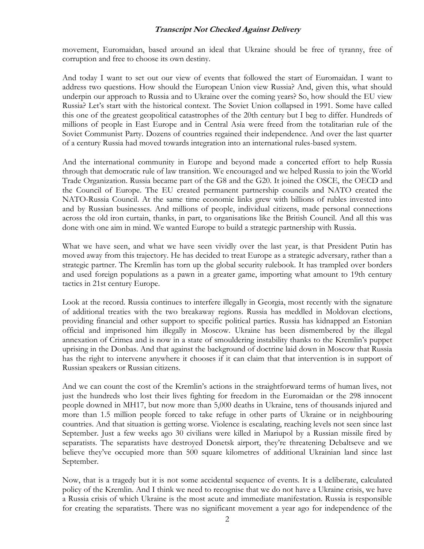movement, Euromaidan, based around an ideal that Ukraine should be free of tyranny, free of corruption and free to choose its own destiny.

And today I want to set out our view of events that followed the start of Euromaidan. I want to address two questions. How should the European Union view Russia? And, given this, what should underpin our approach to Russia and to Ukraine over the coming years? So, how should the EU view Russia? Let's start with the historical context. The Soviet Union collapsed in 1991. Some have called this one of the greatest geopolitical catastrophes of the 20th century but I beg to differ. Hundreds of millions of people in East Europe and in Central Asia were freed from the totalitarian rule of the Soviet Communist Party. Dozens of countries regained their independence. And over the last quarter of a century Russia had moved towards integration into an international rules-based system.

And the international community in Europe and beyond made a concerted effort to help Russia through that democratic rule of law transition. We encouraged and we helped Russia to join the World Trade Organization. Russia became part of the G8 and the G20. It joined the OSCE, the OECD and the Council of Europe. The EU created permanent partnership councils and NATO created the NATO-Russia Council. At the same time economic links grew with billions of rubles invested into and by Russian businesses. And millions of people, individual citizens, made personal connections across the old iron curtain, thanks, in part, to organisations like the British Council. And all this was done with one aim in mind. We wanted Europe to build a strategic partnership with Russia.

What we have seen, and what we have seen vividly over the last year, is that President Putin has moved away from this trajectory. He has decided to treat Europe as a strategic adversary, rather than a strategic partner. The Kremlin has torn up the global security rulebook. It has trampled over borders and used foreign populations as a pawn in a greater game, importing what amount to 19th century tactics in 21st century Europe.

Look at the record. Russia continues to interfere illegally in Georgia, most recently with the signature of additional treaties with the two breakaway regions. Russia has meddled in Moldovan elections, providing financial and other support to specific political parties. Russia has kidnapped an Estonian official and imprisoned him illegally in Moscow. Ukraine has been dismembered by the illegal annexation of Crimea and is now in a state of smouldering instability thanks to the Kremlin's puppet uprising in the Donbas. And that against the background of doctrine laid down in Moscow that Russia has the right to intervene anywhere it chooses if it can claim that that intervention is in support of Russian speakers or Russian citizens.

And we can count the cost of the Kremlin's actions in the straightforward terms of human lives, not just the hundreds who lost their lives fighting for freedom in the Euromaidan or the 298 innocent people downed in MH17, but now more than 5,000 deaths in Ukraine, tens of thousands injured and more than 1.5 million people forced to take refuge in other parts of Ukraine or in neighbouring countries. And that situation is getting worse. Violence is escalating, reaching levels not seen since last September. Just a few weeks ago 30 civilians were killed in Mariupol by a Russian missile fired by separatists. The separatists have destroyed Donetsk airport, they're threatening Debaltseve and we believe they've occupied more than 500 square kilometres of additional Ukrainian land since last September.

Now, that is a tragedy but it is not some accidental sequence of events. It is a deliberate, calculated policy of the Kremlin. And I think we need to recognise that we do not have a Ukraine crisis, we have a Russia crisis of which Ukraine is the most acute and immediate manifestation. Russia is responsible for creating the separatists. There was no significant movement a year ago for independence of the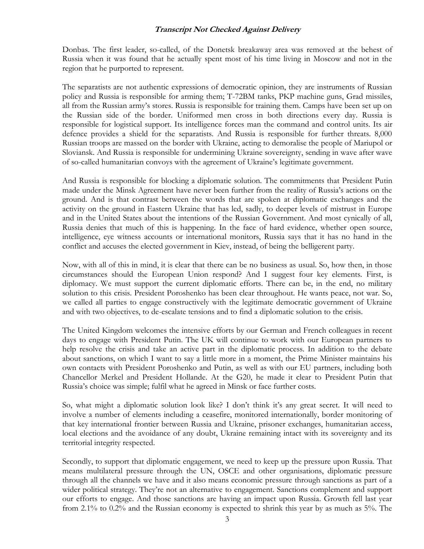Donbas. The first leader, so-called, of the Donetsk breakaway area was removed at the behest of Russia when it was found that he actually spent most of his time living in Moscow and not in the region that he purported to represent.

The separatists are not authentic expressions of democratic opinion, they are instruments of Russian policy and Russia is responsible for arming them; T-72BM tanks, PKP machine guns, Grad missiles, all from the Russian army's stores. Russia is responsible for training them. Camps have been set up on the Russian side of the border. Uniformed men cross in both directions every day. Russia is responsible for logistical support. Its intelligence forces man the command and control units. Its air defence provides a shield for the separatists. And Russia is responsible for further threats. 8,000 Russian troops are massed on the border with Ukraine, acting to demoralise the people of Mariupol or Sloviansk. And Russia is responsible for undermining Ukraine sovereignty, sending in wave after wave of so-called humanitarian convoys with the agreement of Ukraine's legitimate government.

And Russia is responsible for blocking a diplomatic solution. The commitments that President Putin made under the Minsk Agreement have never been further from the reality of Russia's actions on the ground. And is that contrast between the words that are spoken at diplomatic exchanges and the activity on the ground in Eastern Ukraine that has led, sadly, to deeper levels of mistrust in Europe and in the United States about the intentions of the Russian Government. And most cynically of all, Russia denies that much of this is happening. In the face of hard evidence, whether open source, intelligence, eye witness accounts or international monitors, Russia says that it has no hand in the conflict and accuses the elected government in Kiev, instead, of being the belligerent party.

Now, with all of this in mind, it is clear that there can be no business as usual. So, how then, in those circumstances should the European Union respond? And I suggest four key elements. First, is diplomacy. We must support the current diplomatic efforts. There can be, in the end, no military solution to this crisis. President Poroshenko has been clear throughout. He wants peace, not war. So, we called all parties to engage constructively with the legitimate democratic government of Ukraine and with two objectives, to de-escalate tensions and to find a diplomatic solution to the crisis.

The United Kingdom welcomes the intensive efforts by our German and French colleagues in recent days to engage with President Putin. The UK will continue to work with our European partners to help resolve the crisis and take an active part in the diplomatic process. In addition to the debate about sanctions, on which I want to say a little more in a moment, the Prime Minister maintains his own contacts with President Poroshenko and Putin, as well as with our EU partners, including both Chancellor Merkel and President Hollande. At the G20, he made it clear to President Putin that Russia's choice was simple; fulfil what he agreed in Minsk or face further costs.

So, what might a diplomatic solution look like? I don't think it's any great secret. It will need to involve a number of elements including a ceasefire, monitored internationally, border monitoring of that key international frontier between Russia and Ukraine, prisoner exchanges, humanitarian access, local elections and the avoidance of any doubt, Ukraine remaining intact with its sovereignty and its territorial integrity respected.

Secondly, to support that diplomatic engagement, we need to keep up the pressure upon Russia. That means multilateral pressure through the UN, OSCE and other organisations, diplomatic pressure through all the channels we have and it also means economic pressure through sanctions as part of a wider political strategy. They're not an alternative to engagement. Sanctions complement and support our efforts to engage. And those sanctions are having an impact upon Russia. Growth fell last year from 2.1% to 0.2% and the Russian economy is expected to shrink this year by as much as 5%. The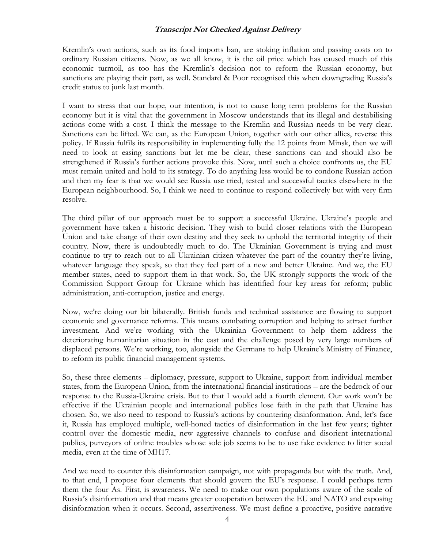Kremlin's own actions, such as its food imports ban, are stoking inflation and passing costs on to ordinary Russian citizens. Now, as we all know, it is the oil price which has caused much of this economic turmoil, as too has the Kremlin's decision not to reform the Russian economy, but sanctions are playing their part, as well. Standard & Poor recognised this when downgrading Russia's credit status to junk last month.

I want to stress that our hope, our intention, is not to cause long term problems for the Russian economy but it is vital that the government in Moscow understands that its illegal and destabilising actions come with a cost. I think the message to the Kremlin and Russian needs to be very clear. Sanctions can be lifted. We can, as the European Union, together with our other allies, reverse this policy. If Russia fulfils its responsibility in implementing fully the 12 points from Minsk, then we will need to look at easing sanctions but let me be clear, these sanctions can and should also be strengthened if Russia's further actions provoke this. Now, until such a choice confronts us, the EU must remain united and hold to its strategy. To do anything less would be to condone Russian action and then my fear is that we would see Russia use tried, tested and successful tactics elsewhere in the European neighbourhood. So, I think we need to continue to respond collectively but with very firm resolve.

The third pillar of our approach must be to support a successful Ukraine. Ukraine's people and government have taken a historic decision. They wish to build closer relations with the European Union and take charge of their own destiny and they seek to uphold the territorial integrity of their country. Now, there is undoubtedly much to do. The Ukrainian Government is trying and must continue to try to reach out to all Ukrainian citizen whatever the part of the country they're living, whatever language they speak, so that they feel part of a new and better Ukraine. And we, the EU member states, need to support them in that work. So, the UK strongly supports the work of the Commission Support Group for Ukraine which has identified four key areas for reform; public administration, anti-corruption, justice and energy.

Now, we're doing our bit bilaterally. British funds and technical assistance are flowing to support economic and governance reforms. This means combating corruption and helping to attract further investment. And we're working with the Ukrainian Government to help them address the deteriorating humanitarian situation in the east and the challenge posed by very large numbers of displaced persons. We're working, too, alongside the Germans to help Ukraine's Ministry of Finance, to reform its public financial management systems.

So, these three elements – diplomacy, pressure, support to Ukraine, support from individual member states, from the European Union, from the international financial institutions – are the bedrock of our response to the Russia-Ukraine crisis. But to that I would add a fourth element. Our work won't be effective if the Ukrainian people and international publics lose faith in the path that Ukraine has chosen. So, we also need to respond to Russia's actions by countering disinformation. And, let's face it, Russia has employed multiple, well-honed tactics of disinformation in the last few years; tighter control over the domestic media, new aggressive channels to confuse and disorient international publics, purveyors of online troubles whose sole job seems to be to use fake evidence to litter social media, even at the time of MH17.

And we need to counter this disinformation campaign, not with propaganda but with the truth. And, to that end, I propose four elements that should govern the EU's response. I could perhaps term them the four As. First, is awareness. We need to make our own populations aware of the scale of Russia's disinformation and that means greater cooperation between the EU and NATO and exposing disinformation when it occurs. Second, assertiveness. We must define a proactive, positive narrative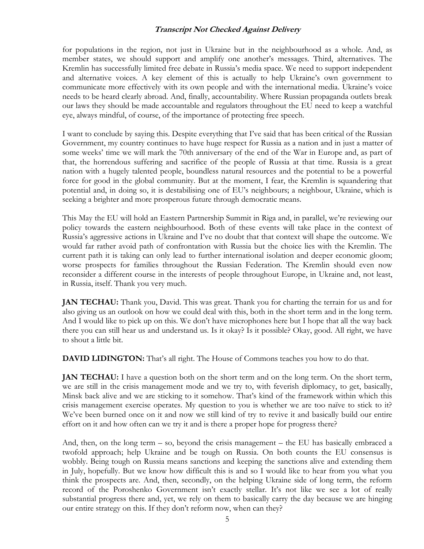for populations in the region, not just in Ukraine but in the neighbourhood as a whole. And, as member states, we should support and amplify one another's messages. Third, alternatives. The Kremlin has successfully limited free debate in Russia's media space. We need to support independent and alternative voices. A key element of this is actually to help Ukraine's own government to communicate more effectively with its own people and with the international media. Ukraine's voice needs to be heard clearly abroad. And, finally, accountability. Where Russian propaganda outlets break our laws they should be made accountable and regulators throughout the EU need to keep a watchful eye, always mindful, of course, of the importance of protecting free speech.

I want to conclude by saying this. Despite everything that I've said that has been critical of the Russian Government, my country continues to have huge respect for Russia as a nation and in just a matter of some weeks' time we will mark the 70th anniversary of the end of the War in Europe and, as part of that, the horrendous suffering and sacrifice of the people of Russia at that time. Russia is a great nation with a hugely talented people, boundless natural resources and the potential to be a powerful force for good in the global community. But at the moment, I fear, the Kremlin is squandering that potential and, in doing so, it is destabilising one of EU's neighbours; a neighbour, Ukraine, which is seeking a brighter and more prosperous future through democratic means.

This May the EU will hold an Eastern Partnership Summit in Riga and, in parallel, we're reviewing our policy towards the eastern neighbourhood. Both of these events will take place in the context of Russia's aggressive actions in Ukraine and I've no doubt that that context will shape the outcome. We would far rather avoid path of confrontation with Russia but the choice lies with the Kremlin. The current path it is taking can only lead to further international isolation and deeper economic gloom; worse prospects for families throughout the Russian Federation. The Kremlin should even now reconsider a different course in the interests of people throughout Europe, in Ukraine and, not least, in Russia, itself. Thank you very much.

**JAN TECHAU:** Thank you, David. This was great. Thank you for charting the terrain for us and for also giving us an outlook on how we could deal with this, both in the short term and in the long term. And I would like to pick up on this. We don't have microphones here but I hope that all the way back there you can still hear us and understand us. Is it okay? Is it possible? Okay, good. All right, we have to shout a little bit.

**DAVID LIDINGTON:** That's all right. The House of Commons teaches you how to do that.

**JAN TECHAU:** I have a question both on the short term and on the long term. On the short term, we are still in the crisis management mode and we try to, with feverish diplomacy, to get, basically, Minsk back alive and we are sticking to it somehow. That's kind of the framework within which this crisis management exercise operates. My question to you is whether we are too naïve to stick to it? We've been burned once on it and now we still kind of try to revive it and basically build our entire effort on it and how often can we try it and is there a proper hope for progress there?

And, then, on the long term – so, beyond the crisis management – the EU has basically embraced a twofold approach; help Ukraine and be tough on Russia. On both counts the EU consensus is wobbly. Being tough on Russia means sanctions and keeping the sanctions alive and extending them in July, hopefully. But we know how difficult this is and so I would like to hear from you what you think the prospects are. And, then, secondly, on the helping Ukraine side of long term, the reform record of the Poroshenko Government isn't exactly stellar. It's not like we see a lot of really substantial progress there and, yet, we rely on them to basically carry the day because we are hinging our entire strategy on this. If they don't reform now, when can they?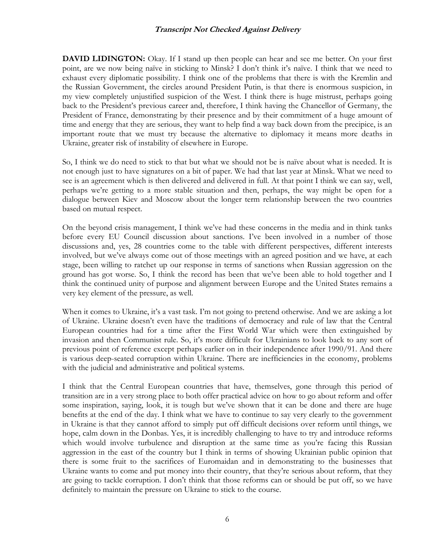**DAVID LIDINGTON:** Okay. If I stand up then people can hear and see me better. On your first point, are we now being naïve in sticking to Minsk? I don't think it's naïve. I think that we need to exhaust every diplomatic possibility. I think one of the problems that there is with the Kremlin and the Russian Government, the circles around President Putin, is that there is enormous suspicion, in my view completely unjustified suspicion of the West. I think there is huge mistrust, perhaps going back to the President's previous career and, therefore, I think having the Chancellor of Germany, the President of France, demonstrating by their presence and by their commitment of a huge amount of time and energy that they are serious, they want to help find a way back down from the precipice, is an important route that we must try because the alternative to diplomacy it means more deaths in Ukraine, greater risk of instability of elsewhere in Europe.

So, I think we do need to stick to that but what we should not be is naïve about what is needed. It is not enough just to have signatures on a bit of paper. We had that last year at Minsk. What we need to see is an agreement which is then delivered and delivered in full. At that point I think we can say, well, perhaps we're getting to a more stable situation and then, perhaps, the way might be open for a dialogue between Kiev and Moscow about the longer term relationship between the two countries based on mutual respect.

On the beyond crisis management, I think we've had these concerns in the media and in think tanks before every EU Council discussion about sanctions. I've been involved in a number of those discussions and, yes, 28 countries come to the table with different perspectives, different interests involved, but we've always come out of those meetings with an agreed position and we have, at each stage, been willing to ratchet up our response in terms of sanctions when Russian aggression on the ground has got worse. So, I think the record has been that we've been able to hold together and I think the continued unity of purpose and alignment between Europe and the United States remains a very key element of the pressure, as well.

When it comes to Ukraine, it's a vast task. I'm not going to pretend otherwise. And we are asking a lot of Ukraine. Ukraine doesn't even have the traditions of democracy and rule of law that the Central European countries had for a time after the First World War which were then extinguished by invasion and then Communist rule. So, it's more difficult for Ukrainians to look back to any sort of previous point of reference except perhaps earlier on in their independence after 1990/91. And there is various deep-seated corruption within Ukraine. There are inefficiencies in the economy, problems with the judicial and administrative and political systems.

I think that the Central European countries that have, themselves, gone through this period of transition are in a very strong place to both offer practical advice on how to go about reform and offer some inspiration, saying, look, it is tough but we've shown that it can be done and there are huge benefits at the end of the day. I think what we have to continue to say very clearly to the government in Ukraine is that they cannot afford to simply put off difficult decisions over reform until things, we hope, calm down in the Donbas. Yes, it is incredibly challenging to have to try and introduce reforms which would involve turbulence and disruption at the same time as you're facing this Russian aggression in the east of the country but I think in terms of showing Ukrainian public opinion that there is some fruit to the sacrifices of Euromaidan and in demonstrating to the businesses that Ukraine wants to come and put money into their country, that they're serious about reform, that they are going to tackle corruption. I don't think that those reforms can or should be put off, so we have definitely to maintain the pressure on Ukraine to stick to the course.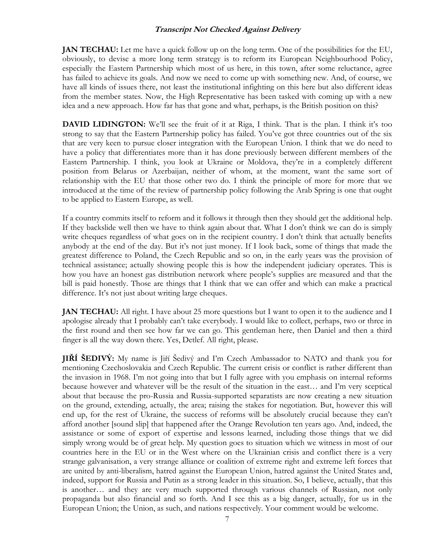**JAN TECHAU:** Let me have a quick follow up on the long term. One of the possibilities for the EU, obviously, to devise a more long term strategy is to reform its European Neighbourhood Policy, especially the Eastern Partnership which most of us here, in this town, after some reluctance, agree has failed to achieve its goals. And now we need to come up with something new. And, of course, we have all kinds of issues there, not least the institutional infighting on this here but also different ideas from the member states. Now, the High Representative has been tasked with coming up with a new idea and a new approach. How far has that gone and what, perhaps, is the British position on this?

**DAVID LIDINGTON:** We'll see the fruit of it at Riga, I think. That is the plan. I think it's too strong to say that the Eastern Partnership policy has failed. You've got three countries out of the six that are very keen to pursue closer integration with the European Union. I think that we do need to have a policy that differentiates more than it has done previously between different members of the Eastern Partnership. I think, you look at Ukraine or Moldova, they're in a completely different position from Belarus or Azerbaijan, neither of whom, at the moment, want the same sort of relationship with the EU that those other two do. I think the principle of more for more that we introduced at the time of the review of partnership policy following the Arab Spring is one that ought to be applied to Eastern Europe, as well.

If a country commits itself to reform and it follows it through then they should get the additional help. If they backslide well then we have to think again about that. What I don't think we can do is simply write cheques regardless of what goes on in the recipient country. I don't think that actually benefits anybody at the end of the day. But it's not just money. If I look back, some of things that made the greatest difference to Poland, the Czech Republic and so on, in the early years was the provision of technical assistance; actually showing people this is how the independent judiciary operates. This is how you have an honest gas distribution network where people's supplies are measured and that the bill is paid honestly. Those are things that I think that we can offer and which can make a practical difference. It's not just about writing large cheques.

**JAN TECHAU:** All right. I have about 25 more questions but I want to open it to the audience and I apologise already that I probably can't take everybody. I would like to collect, perhaps, two or three in the first round and then see how far we can go. This gentleman here, then Daniel and then a third finger is all the way down there. Yes, Detlef. All right, please.

**JIŘÍ ŠEDIVÝ:** My name is Jiří Šedivý and I'm Czech Ambassador to NATO and thank you for mentioning Czechoslovakia and Czech Republic. The current crisis or conflict is rather different than the invasion in 1968. I'm not going into that but I fully agree with you emphasis on internal reforms because however and whatever will be the result of the situation in the east… and I'm very sceptical about that because the pro-Russia and Russia-supported separatists are now creating a new situation on the ground, extending, actually, the area; raising the stakes for negotiation. But, however this will end up, for the rest of Ukraine, the success of reforms will be absolutely crucial because they can't afford another [sound slip] that happened after the Orange Revolution ten years ago. And, indeed, the assistance or some of export of expertise and lessons learned, including those things that we did simply wrong would be of great help. My question goes to situation which we witness in most of our countries here in the EU or in the West where on the Ukrainian crisis and conflict there is a very strange galvanisation, a very strange alliance or coalition of extreme right and extreme left forces that are united by anti-liberalism, hatred against the European Union, hatred against the United States and, indeed, support for Russia and Putin as a strong leader in this situation. So, I believe, actually, that this is another… and they are very much supported through various channels of Russian, not only propaganda but also financial and so forth. And I see this as a big danger, actually, for us in the European Union; the Union, as such, and nations respectively. Your comment would be welcome.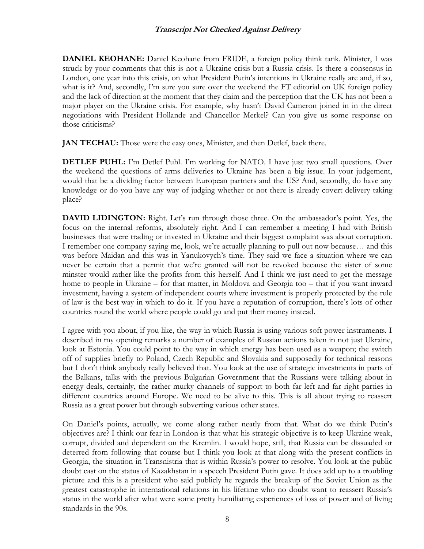**DANIEL KEOHANE:** Daniel Keohane from FRIDE, a foreign policy think tank. Minister, I was struck by your comments that this is not a Ukraine crisis but a Russia crisis. Is there a consensus in London, one year into this crisis, on what President Putin's intentions in Ukraine really are and, if so, what is it? And, secondly, I'm sure you sure over the weekend the FT editorial on UK foreign policy and the lack of direction at the moment that they claim and the perception that the UK has not been a major player on the Ukraine crisis. For example, why hasn't David Cameron joined in in the direct negotiations with President Hollande and Chancellor Merkel? Can you give us some response on those criticisms?

**JAN TECHAU:** Those were the easy ones, Minister, and then Detlef, back there.

**DETLEF PUHL:** I'm Detlef Puhl. I'm working for NATO. I have just two small questions. Over the weekend the questions of arms deliveries to Ukraine has been a big issue. In your judgement, would that be a dividing factor between European partners and the US? And, secondly, do have any knowledge or do you have any way of judging whether or not there is already covert delivery taking place?

**DAVID LIDINGTON:** Right. Let's run through those three. On the ambassador's point. Yes, the focus on the internal reforms, absolutely right. And I can remember a meeting I had with British businesses that were trading or invested in Ukraine and their biggest complaint was about corruption. I remember one company saying me, look, we're actually planning to pull out now because… and this was before Maidan and this was in Yanukovych's time. They said we face a situation where we can never be certain that a permit that we're granted will not be revoked because the sister of some minster would rather like the profits from this herself. And I think we just need to get the message home to people in Ukraine – for that matter, in Moldova and Georgia too – that if you want inward investment, having a system of independent courts where investment is properly protected by the rule of law is the best way in which to do it. If you have a reputation of corruption, there's lots of other countries round the world where people could go and put their money instead.

I agree with you about, if you like, the way in which Russia is using various soft power instruments. I described in my opening remarks a number of examples of Russian actions taken in not just Ukraine, look at Estonia. You could point to the way in which energy has been used as a weapon; the switch off of supplies briefly to Poland, Czech Republic and Slovakia and supposedly for technical reasons but I don't think anybody really believed that. You look at the use of strategic investments in parts of the Balkans, talks with the previous Bulgarian Government that the Russians were talking about in energy deals, certainly, the rather murky channels of support to both far left and far right parties in different countries around Europe. We need to be alive to this. This is all about trying to reassert Russia as a great power but through subverting various other states.

On Daniel's points, actually, we come along rather neatly from that. What do we think Putin's objectives are? I think our fear in London is that what his strategic objective is to keep Ukraine weak, corrupt, divided and dependent on the Kremlin. I would hope, still, that Russia can be dissuaded or deterred from following that course but I think you look at that along with the present conflicts in Georgia, the situation in Transnistria that is within Russia's power to resolve. You look at the public doubt cast on the status of Kazakhstan in a speech President Putin gave. It does add up to a troubling picture and this is a president who said publicly he regards the breakup of the Soviet Union as the greatest catastrophe in international relations in his lifetime who no doubt want to reassert Russia's status in the world after what were some pretty humiliating experiences of loss of power and of living standards in the 90s.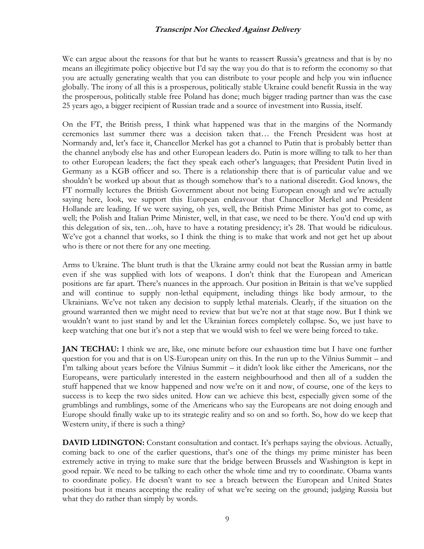We can argue about the reasons for that but he wants to reassert Russia's greatness and that is by no means an illegitimate policy objective but I'd say the way you do that is to reform the economy so that you are actually generating wealth that you can distribute to your people and help you win influence globally. The irony of all this is a prosperous, politically stable Ukraine could benefit Russia in the way the prosperous, politically stable free Poland has done; much bigger trading partner than was the case 25 years ago, a bigger recipient of Russian trade and a source of investment into Russia, itself.

On the FT, the British press, I think what happened was that in the margins of the Normandy ceremonies last summer there was a decision taken that… the French President was host at Normandy and, let's face it, Chancellor Merkel has got a channel to Putin that is probably better than the channel anybody else has and other European leaders do. Putin is more willing to talk to her than to other European leaders; the fact they speak each other's languages; that President Putin lived in Germany as a KGB officer and so. There is a relationship there that is of particular value and we shouldn't be worked up about that as though somehow that's to a national discredit. God knows, the FT normally lectures the British Government about not being European enough and we're actually saying here, look, we support this European endeavour that Chancellor Merkel and President Hollande are leading. If we were saying, oh yes, well, the British Prime Minister has got to come, as well; the Polish and Italian Prime Minister, well, in that case, we need to be there. You'd end up with this delegation of six, ten…oh, have to have a rotating presidency; it's 28. That would be ridiculous. We've got a channel that works, so I think the thing is to make that work and not get het up about who is there or not there for any one meeting.

Arms to Ukraine. The blunt truth is that the Ukraine army could not beat the Russian army in battle even if she was supplied with lots of weapons. I don't think that the European and American positions are far apart. There's nuances in the approach. Our position in Britain is that we've supplied and will continue to supply non-lethal equipment, including things like body armour, to the Ukrainians. We've not taken any decision to supply lethal materials. Clearly, if the situation on the ground warranted then we might need to review that but we're not at that stage now. But I think we wouldn't want to just stand by and let the Ukrainian forces completely collapse. So, we just have to keep watching that one but it's not a step that we would wish to feel we were being forced to take.

**JAN TECHAU:** I think we are, like, one minute before our exhaustion time but I have one further question for you and that is on US-European unity on this. In the run up to the Vilnius Summit – and I'm talking about years before the Vilnius Summit – it didn't look like either the Americans, nor the Europeans, were particularly interested in the eastern neighbourhood and then all of a sudden the stuff happened that we know happened and now we're on it and now, of course, one of the keys to success is to keep the two sides united. How can we achieve this best, especially given some of the grumblings and rumblings, some of the Americans who say the Europeans are not doing enough and Europe should finally wake up to its strategic reality and so on and so forth. So, how do we keep that Western unity, if there is such a thing?

**DAVID LIDINGTON:** Constant consultation and contact. It's perhaps saying the obvious. Actually, coming back to one of the earlier questions, that's one of the things my prime minister has been extremely active in trying to make sure that the bridge between Brussels and Washington is kept in good repair. We need to be talking to each other the whole time and try to coordinate. Obama wants to coordinate policy. He doesn't want to see a breach between the European and United States positions but it means accepting the reality of what we're seeing on the ground; judging Russia but what they do rather than simply by words.